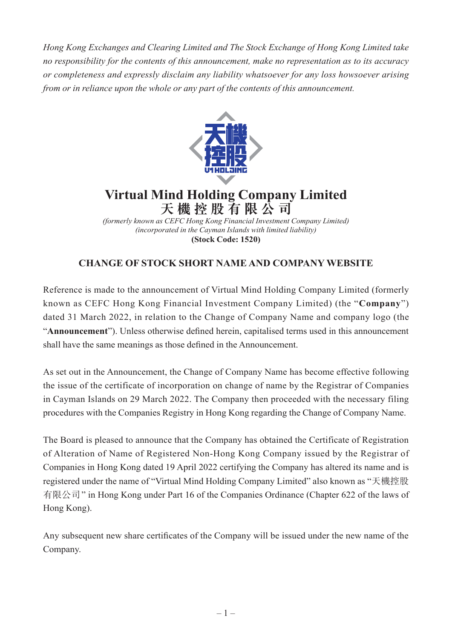*Hong Kong Exchanges and Clearing Limited and The Stock Exchange of Hong Kong Limited take no responsibility for the contents of this announcement, make no representation as to its accuracy or completeness and expressly disclaim any liability whatsoever for any loss howsoever arising from or in reliance upon the whole or any part of the contents of this announcement.*



## **Virtual Mind Holding Company Limited 天機控股有限公司**

*(formerly known as CEFC Hong Kong Financial Investment Company Limited) (incorporated in the Cayman Islands with limited liability)* **(Stock Code: 1520)**

## **CHANGE OF STOCK SHORT NAME AND COMPANY WEBSITE**

Reference is made to the announcement of Virtual Mind Holding Company Limited (formerly known as CEFC Hong Kong Financial Investment Company Limited) (the "**Company**") dated 31 March 2022, in relation to the Change of Company Name and company logo (the "**Announcement**"). Unless otherwise defined herein, capitalised terms used in this announcement shall have the same meanings as those defined in the Announcement.

As set out in the Announcement, the Change of Company Name has become effective following the issue of the certificate of incorporation on change of name by the Registrar of Companies in Cayman Islands on 29 March 2022. The Company then proceeded with the necessary filing procedures with the Companies Registry in Hong Kong regarding the Change of Company Name.

The Board is pleased to announce that the Company has obtained the Certificate of Registration of Alteration of Name of Registered Non-Hong Kong Company issued by the Registrar of Companies in Hong Kong dated 19 April 2022 certifying the Company has altered its name and is registered under the name of "Virtual Mind Holding Company Limited" also known as "天機控股 有限公司" in Hong Kong under Part 16 of the Companies Ordinance (Chapter 622 of the laws of Hong Kong).

Any subsequent new share certificates of the Company will be issued under the new name of the Company.